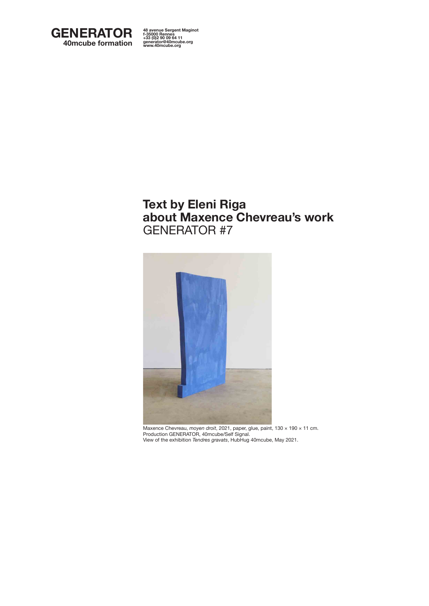

**48 avenue Sergent Maginot f-35000 Rennes +33 (0)2 90 09 64 11 generator@40mcube.org www.40mcube.org 48 avenue Sergent Maginot f-35000 Rennes +33 (0)2 90 09 64 11 generator@40mcube.org www.40mcube.org**

## **Text by Eleni Riga about Maxence Chevreau's work** GENERATOR #7



Maxence Chevreau, *moyen droit*, 2021, paper, glue, paint, 130 × 190 × 11 cm. Production GENERATOR, 40mcube/Self Signal. View of the exhibition *Tendres gravats*, HubHug 40mcube, May 2021.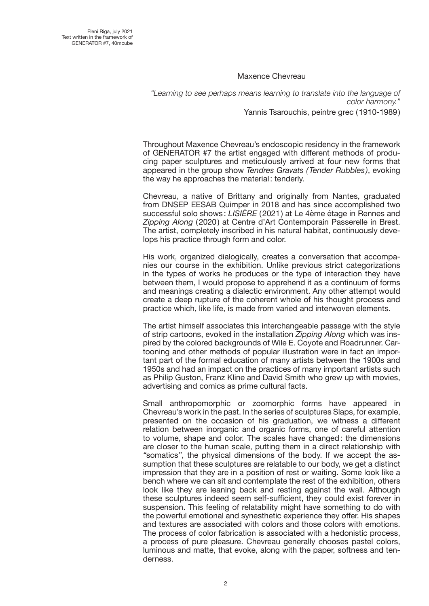## Maxence Chevreau

*"Learning to see perhaps means learning to translate into the language of color harmony."* Yannis Tsarouchis, peintre grec (1910-1989)

Throughout Maxence Chevreau's endoscopic residency in the framework of GENERATOR #7 the artist engaged with different methods of producing paper sculptures and meticulously arrived at four new forms that appeared in the group show *Tendres Gravats (Tender Rubbles )*, evoking the way he approaches the material: tenderly.

Chevreau, a native of Brittany and originally from Nantes, graduated from DNSEP EESAB Quimper in 2018 and has since accomplished two successful solo shows : *LISIÈRE* (2021) at Le 4ème étage in Rennes and *Zipping Along* (2020) at Centre d'Art Contemporain Passerelle in Brest. The artist, completely inscribed in his natural habitat, continuously develops his practice through form and color.

His work, organized dialogically, creates a conversation that accompanies our course in the exhibition. Unlike previous strict categorizations in the types of works he produces or the type of interaction they have between them, I would propose to apprehend it as a continuum of forms and meanings creating a dialectic environment. Any other attempt would create a deep rupture of the coherent whole of his thought process and practice which, like life, is made from varied and interwoven elements.

The artist himself associates this interchangeable passage with the style of strip cartoons, evoked in the installation *Zipping Along* which was inspired by the colored backgrounds of Wile E. Coyote and Roadrunner. Cartooning and other methods of popular illustration were in fact an important part of the formal education of many artists between the 1900s and 1950s and had an impact on the practices of many important artists such as Philip Guston, Franz Kline and David Smith who grew up with movies, advertising and comics as prime cultural facts.

Small anthropomorphic or zoomorphic forms have appeared in Chevreau's work in the past. In the series of sculptures Slaps, for example, presented on the occasion of his graduation, we witness a different relation between inorganic and organic forms, one of careful attention to volume, shape and color. The scales have changed: the dimensions are closer to the human scale, putting them in a direct relationship with *"*somatics*"*, the physical dimensions of the body. If we accept the assumption that these sculptures are relatable to our body, we get a distinct impression that they are in a position of rest or waiting. Some look like a bench where we can sit and contemplate the rest of the exhibition, others look like they are leaning back and resting against the wall. Although these sculptures indeed seem self-sufficient, they could exist forever in suspension. This feeling of relatability might have something to do with the powerful emotional and synesthetic experience they offer. His shapes and textures are associated with colors and those colors with emotions. The process of color fabrication is associated with a hedonistic process, a process of pure pleasure. Chevreau generally chooses pastel colors, luminous and matte, that evoke, along with the paper, softness and tenderness.